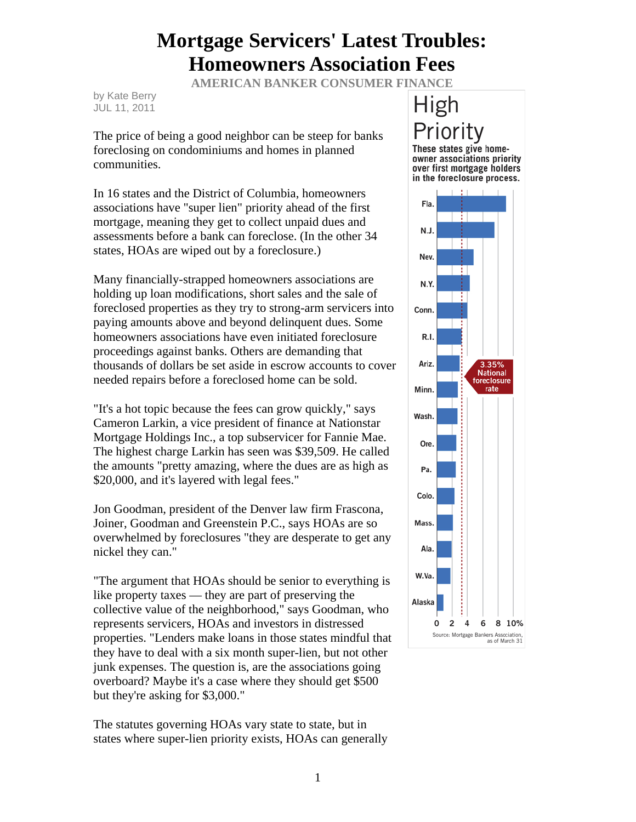## **Mortgage Servicers' Latest Troubles: Homeowners Association Fees**

**AMERICAN BANKER CONSUMER FINANCE** 

by Kate Berry JUL 11, 2011

The price of being a good neighbor can be steep for banks foreclosing on condominiums and homes in planned communities.

In 16 states and the District of Columbia, homeowners associations have "super lien" priority ahead of the first mortgage, meaning they get to collect unpaid dues and assessments before a bank can foreclose. (In the other 34 states, HOAs are wiped out by a foreclosure.)

Many financially-strapped homeowners associations are holding up loan modifications, short sales and the sale of foreclosed properties as they try to strong-arm servicers into paying amounts above and beyond delinquent dues. Some homeowners associations have even initiated foreclosure proceedings against banks. Others are demanding that thousands of dollars be set aside in escrow accounts to cover needed repairs before a foreclosed home can be sold.

"It's a hot topic because the fees can grow quickly," says Cameron Larkin, a vice president of finance at Nationstar Mortgage Holdings Inc., a top subservicer for Fannie Mae. The highest charge Larkin has seen was \$39,509. He called the amounts "pretty amazing, where the dues are as high as \$20,000, and it's layered with legal fees."

Jon Goodman, president of the Denver law firm Frascona, Joiner, Goodman and Greenstein P.C., says HOAs are so overwhelmed by foreclosures "they are desperate to get any nickel they can."

"The argument that HOAs should be senior to everything is like property taxes — they are part of preserving the collective value of the neighborhood," says Goodman, who represents servicers, HOAs and investors in distressed properties. "Lenders make loans in those states mindful that they have to deal with a six month super-lien, but not other junk expenses. The question is, are the associations going overboard? Maybe it's a case where they should get \$500 but they're asking for \$3,000."

The statutes governing HOAs vary state to state, but in states where super-lien priority exists, HOAs can generally

## High Priority These states give home-

owner associations priority over first mortgage holders in the foreclosure process.

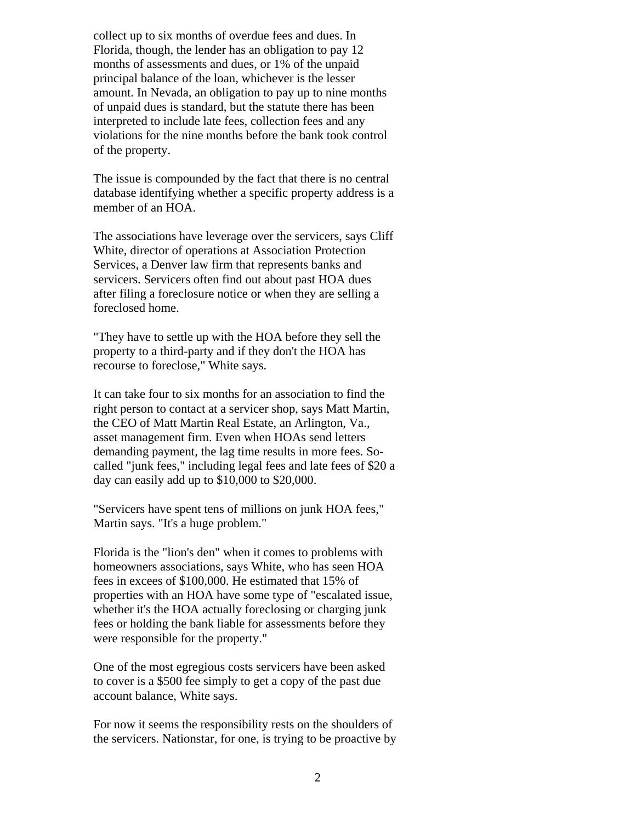collect up to six months of overdue fees and dues. In Florida, though, the lender has an obligation to pay 12 months of assessments and dues, or 1% of the unpaid principal balance of the loan, whichever is the lesser amount. In Nevada, an obligation to pay up to nine months of unpaid dues is standard, but the statute there has been interpreted to include late fees, collection fees and any violations for the nine months before the bank took control of the property.

The issue is compounded by the fact that there is no central database identifying whether a specific property address is a member of an HOA.

The associations have leverage over the servicers, says Cliff White, director of operations at Association Protection Services, a Denver law firm that represents banks and servicers. Servicers often find out about past HOA dues after filing a foreclosure notice or when they are selling a foreclosed home.

"They have to settle up with the HOA before they sell the property to a third-party and if they don't the HOA has recourse to foreclose," White says.

It can take four to six months for an association to find the right person to contact at a servicer shop, says Matt Martin, the CEO of Matt Martin Real Estate, an Arlington, Va., asset management firm. Even when HOAs send letters demanding payment, the lag time results in more fees. Socalled "junk fees," including legal fees and late fees of \$20 a day can easily add up to \$10,000 to \$20,000.

"Servicers have spent tens of millions on junk HOA fees," Martin says. "It's a huge problem."

Florida is the "lion's den" when it comes to problems with homeowners associations, says White, who has seen HOA fees in excees of \$100,000. He estimated that 15% of properties with an HOA have some type of "escalated issue, whether it's the HOA actually foreclosing or charging junk fees or holding the bank liable for assessments before they were responsible for the property."

One of the most egregious costs servicers have been asked to cover is a \$500 fee simply to get a copy of the past due account balance, White says.

For now it seems the responsibility rests on the shoulders of the servicers. Nationstar, for one, is trying to be proactive by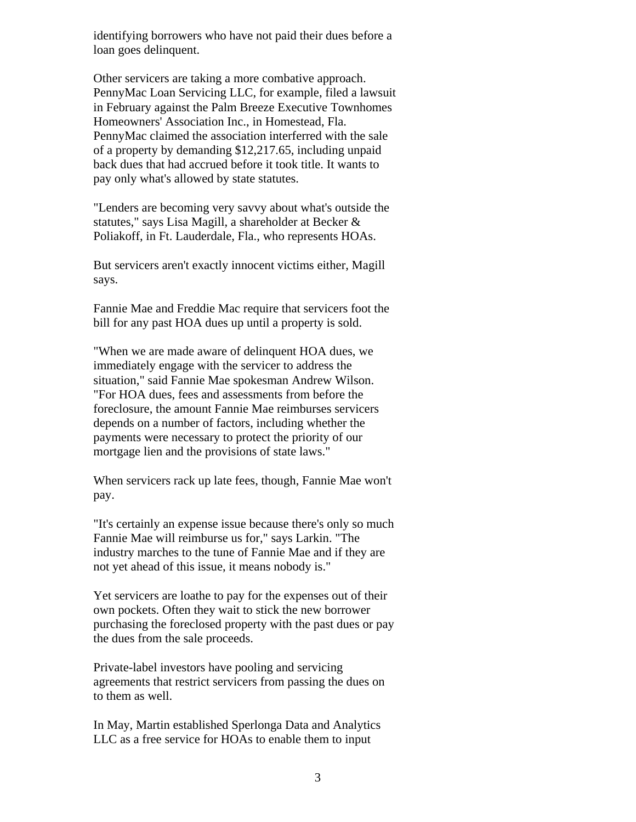identifying borrowers who have not paid their dues before a loan goes delinquent.

Other servicers are taking a more combative approach. PennyMac Loan Servicing LLC, for example, filed a lawsuit in February against the Palm Breeze Executive Townhomes Homeowners' Association Inc., in Homestead, Fla. PennyMac claimed the association interferred with the sale of a property by demanding \$12,217.65, including unpaid back dues that had accrued before it took title. It wants to pay only what's allowed by state statutes.

"Lenders are becoming very savvy about what's outside the statutes," says Lisa Magill, a shareholder at Becker & Poliakoff, in Ft. Lauderdale, Fla., who represents HOAs.

But servicers aren't exactly innocent victims either, Magill says.

Fannie Mae and Freddie Mac require that servicers foot the bill for any past HOA dues up until a property is sold.

"When we are made aware of delinquent HOA dues, we immediately engage with the servicer to address the situation," said Fannie Mae spokesman Andrew Wilson. "For HOA dues, fees and assessments from before the foreclosure, the amount Fannie Mae reimburses servicers depends on a number of factors, including whether the payments were necessary to protect the priority of our mortgage lien and the provisions of state laws."

When servicers rack up late fees, though, Fannie Mae won't pay.

"It's certainly an expense issue because there's only so much Fannie Mae will reimburse us for," says Larkin. "The industry marches to the tune of Fannie Mae and if they are not yet ahead of this issue, it means nobody is."

Yet servicers are loathe to pay for the expenses out of their own pockets. Often they wait to stick the new borrower purchasing the foreclosed property with the past dues or pay the dues from the sale proceeds.

Private-label investors have pooling and servicing agreements that restrict servicers from passing the dues on to them as well.

In May, Martin established Sperlonga Data and Analytics LLC as a free service for HOAs to enable them to input